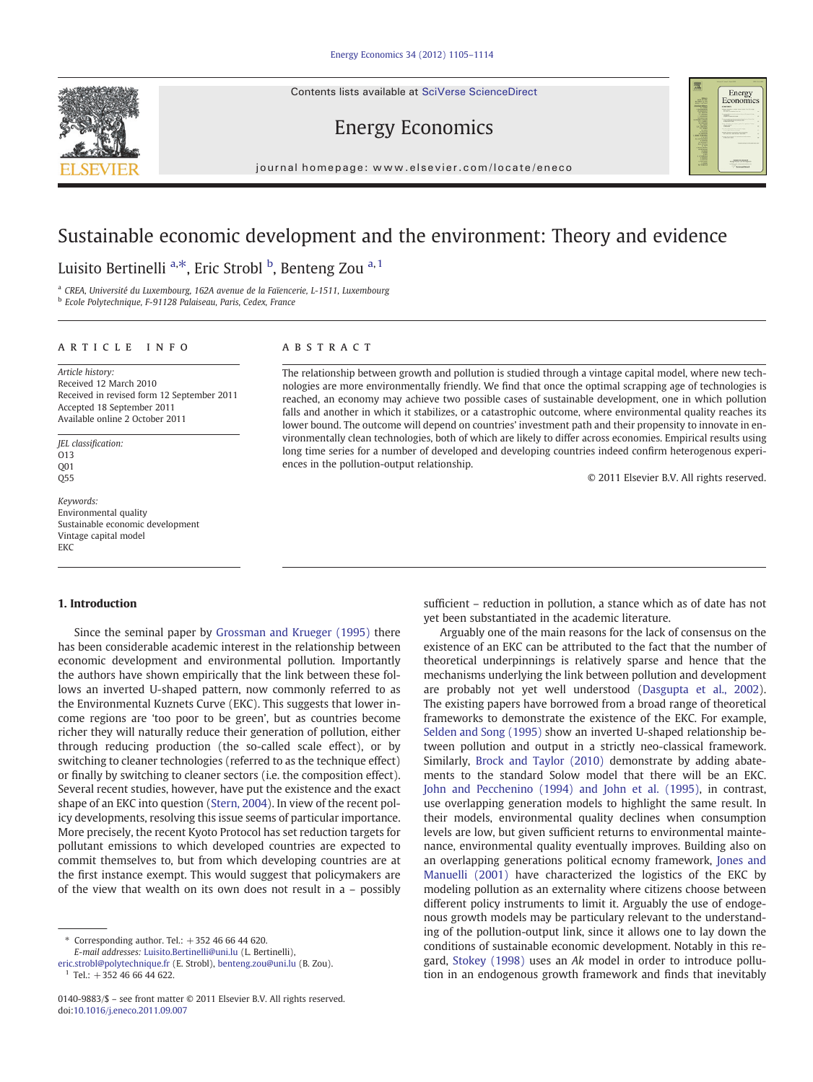Contents lists available at SciVerse ScienceDirect





# Energy Economics

journal homepage: www.elsevier.com/locate/eneco

# Sustainable economic development and the environment: Theory and evidence

## Luisito Bertinelli <sup>a,\*</sup>, Eric Strobl <sup>b</sup>, Benteng Zou <sup>a, 1</sup>

<sup>a</sup> CREA, Université du Luxembourg, 162A avenue de la Faïencerie, L-1511, Luxembourg

<sup>b</sup> Ecole Polytechnique, F-91128 Palaiseau, Paris, Cedex, France

### article info abstract

Article history: Received 12 March 2010 Received in revised form 12 September 2011 Accepted 18 September 2011 Available online 2 October 2011

JEL classification: O13  $0<sub>01</sub>$  $O55$ 

Keywords: Environmental quality Sustainable economic development Vintage capital model EKC

### 1. Introduction

Since the seminal paper by [Grossman and Krueger \(1995\)](#page--1-0) there has been considerable academic interest in the relationship between economic development and environmental pollution. Importantly the authors have shown empirically that the link between these follows an inverted U-shaped pattern, now commonly referred to as the Environmental Kuznets Curve (EKC). This suggests that lower income regions are 'too poor to be green', but as countries become richer they will naturally reduce their generation of pollution, either through reducing production (the so-called scale effect), or by switching to cleaner technologies (referred to as the technique effect) or finally by switching to cleaner sectors (i.e. the composition effect). Several recent studies, however, have put the existence and the exact shape of an EKC into question ([Stern, 2004\)](#page--1-0). In view of the recent policy developments, resolving this issue seems of particular importance. More precisely, the recent Kyoto Protocol has set reduction targets for pollutant emissions to which developed countries are expected to commit themselves to, but from which developing countries are at the first instance exempt. This would suggest that policymakers are of the view that wealth on its own does not result in a – possibly

[eric.strobl@polytechnique.fr](mailto:eric.strobl@polytechnique.fr) (E. Strobl), [benteng.zou@uni.lu](mailto:benteng.zou@uni.lu) (B. Zou).

The relationship between growth and pollution is studied through a vintage capital model, where new technologies are more environmentally friendly. We find that once the optimal scrapping age of technologies is reached, an economy may achieve two possible cases of sustainable development, one in which pollution falls and another in which it stabilizes, or a catastrophic outcome, where environmental quality reaches its lower bound. The outcome will depend on countries' investment path and their propensity to innovate in environmentally clean technologies, both of which are likely to differ across economies. Empirical results using long time series for a number of developed and developing countries indeed confirm heterogenous experiences in the pollution-output relationship.

© 2011 Elsevier B.V. All rights reserved.

sufficient – reduction in pollution, a stance which as of date has not yet been substantiated in the academic literature.

Arguably one of the main reasons for the lack of consensus on the existence of an EKC can be attributed to the fact that the number of theoretical underpinnings is relatively sparse and hence that the mechanisms underlying the link between pollution and development are probably not yet well understood ([Dasgupta et al., 2002](#page--1-0)). The existing papers have borrowed from a broad range of theoretical frameworks to demonstrate the existence of the EKC. For example, [Selden and Song \(1995\)](#page--1-0) show an inverted U-shaped relationship between pollution and output in a strictly neo-classical framework. Similarly, [Brock and Taylor \(2010\)](#page--1-0) demonstrate by adding abatements to the standard Solow model that there will be an EKC. [John and Pecchenino \(1994\) and John et al. \(1995\),](#page--1-0) in contrast, use overlapping generation models to highlight the same result. In their models, environmental quality declines when consumption levels are low, but given sufficient returns to environmental maintenance, environmental quality eventually improves. Building also on an overlapping generations political ecnomy framework, [Jones and](#page--1-0) [Manuelli \(2001\)](#page--1-0) have characterized the logistics of the EKC by modeling pollution as an externality where citizens choose between different policy instruments to limit it. Arguably the use of endogenous growth models may be particulary relevant to the understanding of the pollution-output link, since it allows one to lay down the conditions of sustainable economic development. Notably in this regard, [Stokey \(1998\)](#page--1-0) uses an Ak model in order to introduce pollution in an endogenous growth framework and finds that inevitably

<sup>⁎</sup> Corresponding author. Tel.: +352 46 66 44 620. E-mail addresses: [Luisito.Bertinelli@uni.lu](mailto:Luisito.Bertinelli@uni.lu) (L. Bertinelli),

Tel.:  $+352$  46 66 44 622.

<sup>0140-9883/\$</sup> – see front matter © 2011 Elsevier B.V. All rights reserved. doi:[10.1016/j.eneco.2011.09.007](http://dx.doi.org/10.1016/j.eneco.2011.09.007)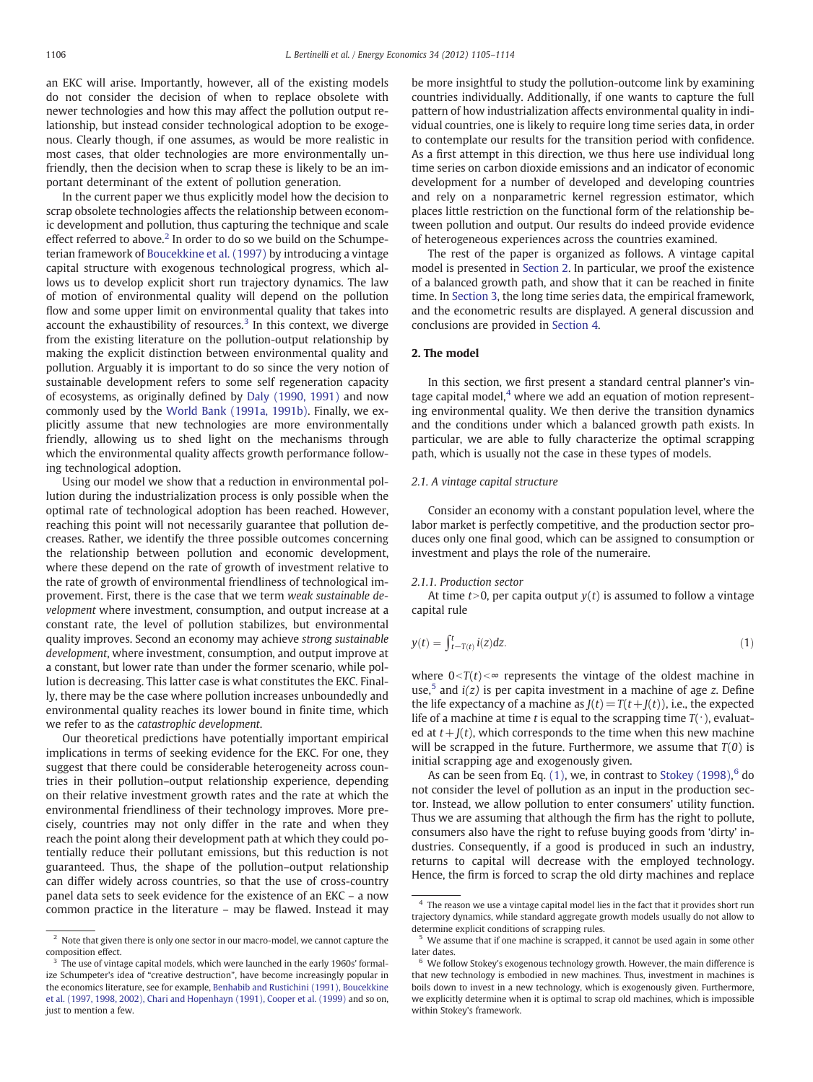an EKC will arise. Importantly, however, all of the existing models do not consider the decision of when to replace obsolete with newer technologies and how this may affect the pollution output relationship, but instead consider technological adoption to be exogenous. Clearly though, if one assumes, as would be more realistic in most cases, that older technologies are more environmentally unfriendly, then the decision when to scrap these is likely to be an important determinant of the extent of pollution generation.

In the current paper we thus explicitly model how the decision to scrap obsolete technologies affects the relationship between economic development and pollution, thus capturing the technique and scale effect referred to above.<sup>2</sup> In order to do so we build on the Schumpeterian framework of [Boucekkine et al. \(1997\)](#page--1-0) by introducing a vintage capital structure with exogenous technological progress, which allows us to develop explicit short run trajectory dynamics. The law of motion of environmental quality will depend on the pollution flow and some upper limit on environmental quality that takes into account the exhaustibility of resources. $3$  In this context, we diverge from the existing literature on the pollution-output relationship by making the explicit distinction between environmental quality and pollution. Arguably it is important to do so since the very notion of sustainable development refers to some self regeneration capacity of ecosystems, as originally defined by [Daly \(1990, 1991\)](#page--1-0) and now commonly used by the [World Bank \(1991a, 1991b\).](#page--1-0) Finally, we explicitly assume that new technologies are more environmentally friendly, allowing us to shed light on the mechanisms through which the environmental quality affects growth performance following technological adoption.

Using our model we show that a reduction in environmental pollution during the industrialization process is only possible when the optimal rate of technological adoption has been reached. However, reaching this point will not necessarily guarantee that pollution decreases. Rather, we identify the three possible outcomes concerning the relationship between pollution and economic development, where these depend on the rate of growth of investment relative to the rate of growth of environmental friendliness of technological improvement. First, there is the case that we term weak sustainable development where investment, consumption, and output increase at a constant rate, the level of pollution stabilizes, but environmental quality improves. Second an economy may achieve strong sustainable development, where investment, consumption, and output improve at a constant, but lower rate than under the former scenario, while pollution is decreasing. This latter case is what constitutes the EKC. Finally, there may be the case where pollution increases unboundedly and environmental quality reaches its lower bound in finite time, which we refer to as the catastrophic development.

Our theoretical predictions have potentially important empirical implications in terms of seeking evidence for the EKC. For one, they suggest that there could be considerable heterogeneity across countries in their pollution–output relationship experience, depending on their relative investment growth rates and the rate at which the environmental friendliness of their technology improves. More precisely, countries may not only differ in the rate and when they reach the point along their development path at which they could potentially reduce their pollutant emissions, but this reduction is not guaranteed. Thus, the shape of the pollution–output relationship can differ widely across countries, so that the use of cross-country panel data sets to seek evidence for the existence of an EKC – a now common practice in the literature – may be flawed. Instead it may be more insightful to study the pollution-outcome link by examining countries individually. Additionally, if one wants to capture the full pattern of how industrialization affects environmental quality in individual countries, one is likely to require long time series data, in order to contemplate our results for the transition period with confidence. As a first attempt in this direction, we thus here use individual long time series on carbon dioxide emissions and an indicator of economic development for a number of developed and developing countries and rely on a nonparametric kernel regression estimator, which places little restriction on the functional form of the relationship between pollution and output. Our results do indeed provide evidence of heterogeneous experiences across the countries examined.

The rest of the paper is organized as follows. A vintage capital model is presented in Section 2. In particular, we proof the existence of a balanced growth path, and show that it can be reached in finite time. In [Section 3](#page--1-0), the long time series data, the empirical framework, and the econometric results are displayed. A general discussion and conclusions are provided in [Section 4](#page--1-0).

### 2. The model

In this section, we first present a standard central planner's vintage capital model, $4$  where we add an equation of motion representing environmental quality. We then derive the transition dynamics and the conditions under which a balanced growth path exists. In particular, we are able to fully characterize the optimal scrapping path, which is usually not the case in these types of models.

### 2.1. A vintage capital structure

Consider an economy with a constant population level, where the labor market is perfectly competitive, and the production sector produces only one final good, which can be assigned to consumption or investment and plays the role of the numeraire.

### 2.1.1. Production sector

At time  $t>0$ , per capita output  $y(t)$  is assumed to follow a vintage capital rule

$$
y(t) = \int_{t-T(t)}^{t} i(z)dz.
$$
 (1)

where  $0 < T(t) < \infty$  represents the vintage of the oldest machine in use,<sup>5</sup> and  $i(z)$  is per capita investment in a machine of age z. Define the life expectancy of a machine as  $J(t) = T(t+J(t))$ , i.e., the expected life of a machine at time t is equal to the scrapping time  $T(\cdot)$ , evaluated at  $t + J(t)$ , which corresponds to the time when this new machine will be scrapped in the future. Furthermore, we assume that  $T(0)$  is initial scrapping age and exogenously given.

As can be seen from Eq.  $(1)$ , we, in contrast to Stokey  $(1998)$ , <sup>6</sup> do not consider the level of pollution as an input in the production sector. Instead, we allow pollution to enter consumers' utility function. Thus we are assuming that although the firm has the right to pollute, consumers also have the right to refuse buying goods from 'dirty' industries. Consequently, if a good is produced in such an industry, returns to capital will decrease with the employed technology. Hence, the firm is forced to scrap the old dirty machines and replace

 $^{\rm 2}$  Note that given there is only one sector in our macro-model, we cannot capture the composition effect.

<sup>&</sup>lt;sup>3</sup> The use of vintage capital models, which were launched in the early 1960s' formalize Schumpeter's idea of "creative destruction", have become increasingly popular in the economics literature, see for example, [Benhabib and Rustichini \(1991\), Boucekkine](#page--1-0) [et al. \(1997, 1998, 2002\), Chari and Hopenhayn \(1991\), Cooper et al. \(1999\)](#page--1-0) and so on, just to mention a few.

 $4$  The reason we use a vintage capital model lies in the fact that it provides short run trajectory dynamics, while standard aggregate growth models usually do not allow to determine explicit conditions of scrapping rules.

<sup>5</sup> We assume that if one machine is scrapped, it cannot be used again in some other later dates

 $6\,$  We follow Stokey's exogenous technology growth. However, the main difference is that new technology is embodied in new machines. Thus, investment in machines is boils down to invest in a new technology, which is exogenously given. Furthermore, we explicitly determine when it is optimal to scrap old machines, which is impossible within Stokey's framework.